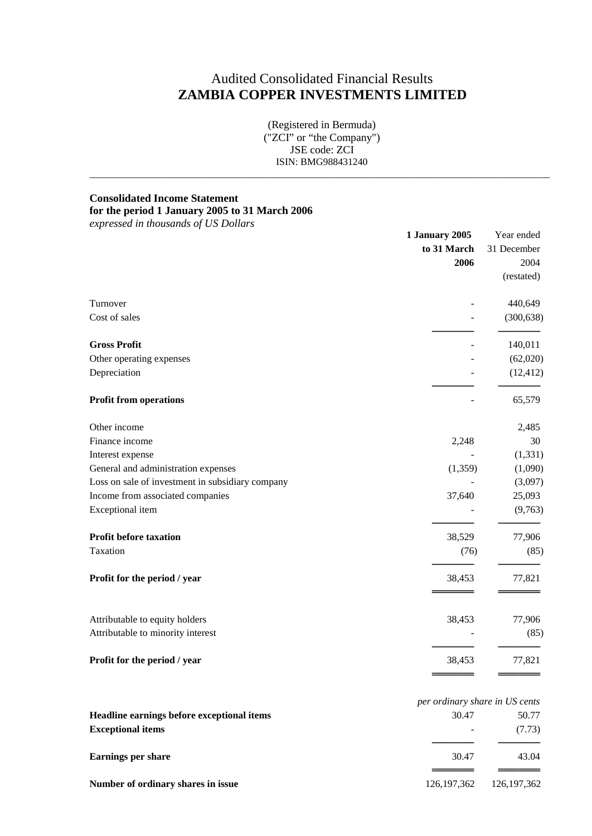# Audited Consolidated Financial Results **ZAMBIA COPPER INVESTMENTS LIMITED**

(Registered in Bermuda) ("ZCI" or "the Company") JSE code: ZCI ISIN: BMG988431240

 $\_$  ,  $\_$  ,  $\_$  ,  $\_$  ,  $\_$  ,  $\_$  ,  $\_$  ,  $\_$  ,  $\_$  ,  $\_$  ,  $\_$  ,  $\_$  ,  $\_$  ,  $\_$  ,  $\_$  ,  $\_$  ,  $\_$  ,  $\_$  ,  $\_$  ,  $\_$  ,  $\_$  ,  $\_$  ,  $\_$  ,  $\_$  ,  $\_$  ,  $\_$  ,  $\_$  ,  $\_$  ,  $\_$  ,  $\_$  ,  $\_$  ,  $\_$  ,  $\_$  ,  $\_$  ,  $\_$  ,  $\_$  ,  $\_$  ,

## **Consolidated Income Statement**

## **for the period 1 January 2005 to 31 March 2006**

|                                                  | 1 January 2005<br>to 31 March | Year ended<br>31 December |
|--------------------------------------------------|-------------------------------|---------------------------|
|                                                  |                               |                           |
|                                                  | 2006                          | 2004                      |
|                                                  |                               | (restated)                |
| Turnover                                         |                               | 440,649                   |
| Cost of sales                                    |                               | (300, 638)                |
| <b>Gross Profit</b>                              |                               | 140,011                   |
| Other operating expenses                         |                               | (62,020)                  |
| Depreciation                                     |                               | (12, 412)                 |
| <b>Profit from operations</b>                    |                               | 65,579                    |
| Other income                                     |                               | 2,485                     |
| Finance income                                   | 2,248                         | 30                        |
| Interest expense                                 |                               | (1, 331)                  |
| General and administration expenses              | (1,359)                       | (1,090)                   |
| Loss on sale of investment in subsidiary company |                               | (3,097)                   |
| Income from associated companies                 | 37,640                        | 25,093                    |
| Exceptional item                                 |                               | (9,763)                   |
| Profit before taxation                           | 38,529                        | 77,906                    |
| Taxation                                         | (76)                          | (85)                      |
| Profit for the period / year                     | 38,453                        | 77,821                    |
| Attributable to equity holders                   | 38,453                        | 77,906                    |
| Attributable to minority interest                |                               | (85)                      |
| Profit for the period / year                     | 38,453                        | 77,821                    |

|                                            | per ordinary share in US cents |               |
|--------------------------------------------|--------------------------------|---------------|
| Headline earnings before exceptional items | 30.47                          | 50.77         |
| <b>Exceptional items</b>                   | $\overline{\phantom{a}}$       | (7.73)        |
| <b>Earnings per share</b>                  | 30.47                          | 43.04         |
| Number of ordinary shares in issue         | 126, 197, 362                  | 126, 197, 362 |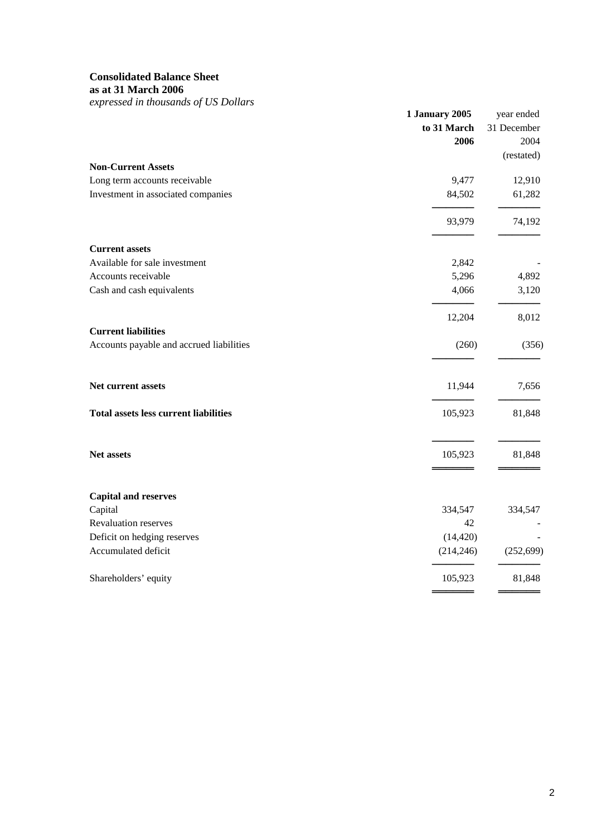## **Consolidated Balance Sheet**

**as at 31 March 2006**

| $\epsilon$ <i>, <math>\epsilon</math></i> , $\epsilon$ , $\epsilon$ , $\epsilon$ , $\epsilon$ , $\epsilon$ , $\epsilon$ , $\epsilon$ , $\epsilon$ , $\epsilon$ , $\epsilon$ , $\epsilon$ , $\epsilon$ , $\epsilon$ , $\epsilon$ , $\epsilon$ , $\epsilon$ , $\epsilon$ , $\epsilon$ , $\epsilon$ , $\epsilon$ , $\epsilon$ , $\epsilon$ , $\epsilon$ , $\epsilon$ , $\epsilon$ , $\epsilon$ , $\epsilon$ , $\epsilon$ , $\epsilon$ , $\epsilon$ , $\epsilon$ , $\epsilon$ , $\epsilon$ , $\epsilon$ , $\epsilon$ | 1 January 2005<br>to 31 March<br>2006 | year ended<br>31 December<br>2004<br>(restated) |
|------------------------------------------------------------------------------------------------------------------------------------------------------------------------------------------------------------------------------------------------------------------------------------------------------------------------------------------------------------------------------------------------------------------------------------------------------------------------------------------------------------------|---------------------------------------|-------------------------------------------------|
| <b>Non-Current Assets</b>                                                                                                                                                                                                                                                                                                                                                                                                                                                                                        |                                       |                                                 |
| Long term accounts receivable                                                                                                                                                                                                                                                                                                                                                                                                                                                                                    | 9,477                                 | 12,910                                          |
| Investment in associated companies                                                                                                                                                                                                                                                                                                                                                                                                                                                                               | 84,502                                | 61,282                                          |
|                                                                                                                                                                                                                                                                                                                                                                                                                                                                                                                  | 93,979                                | 74,192                                          |
| <b>Current assets</b>                                                                                                                                                                                                                                                                                                                                                                                                                                                                                            |                                       |                                                 |
| Available for sale investment                                                                                                                                                                                                                                                                                                                                                                                                                                                                                    | 2,842                                 |                                                 |
| Accounts receivable                                                                                                                                                                                                                                                                                                                                                                                                                                                                                              | 5,296                                 | 4,892                                           |
| Cash and cash equivalents                                                                                                                                                                                                                                                                                                                                                                                                                                                                                        | 4,066                                 | 3,120                                           |
|                                                                                                                                                                                                                                                                                                                                                                                                                                                                                                                  | 12,204                                | 8,012                                           |
| <b>Current liabilities</b>                                                                                                                                                                                                                                                                                                                                                                                                                                                                                       |                                       |                                                 |
| Accounts payable and accrued liabilities                                                                                                                                                                                                                                                                                                                                                                                                                                                                         | (260)                                 | (356)                                           |
| Net current assets                                                                                                                                                                                                                                                                                                                                                                                                                                                                                               | 11,944                                | 7,656                                           |
| <b>Total assets less current liabilities</b>                                                                                                                                                                                                                                                                                                                                                                                                                                                                     | 105,923                               | 81,848                                          |
| Net assets                                                                                                                                                                                                                                                                                                                                                                                                                                                                                                       | 105,923                               | 81,848                                          |
|                                                                                                                                                                                                                                                                                                                                                                                                                                                                                                                  |                                       |                                                 |
| <b>Capital and reserves</b><br>Capital                                                                                                                                                                                                                                                                                                                                                                                                                                                                           | 334,547                               | 334,547                                         |
| Revaluation reserves                                                                                                                                                                                                                                                                                                                                                                                                                                                                                             | 42                                    |                                                 |
| Deficit on hedging reserves                                                                                                                                                                                                                                                                                                                                                                                                                                                                                      | (14, 420)                             |                                                 |
| Accumulated deficit                                                                                                                                                                                                                                                                                                                                                                                                                                                                                              | (214, 246)                            | (252, 699)                                      |
| Shareholders' equity                                                                                                                                                                                                                                                                                                                                                                                                                                                                                             | 105,923                               | 81,848                                          |
|                                                                                                                                                                                                                                                                                                                                                                                                                                                                                                                  |                                       |                                                 |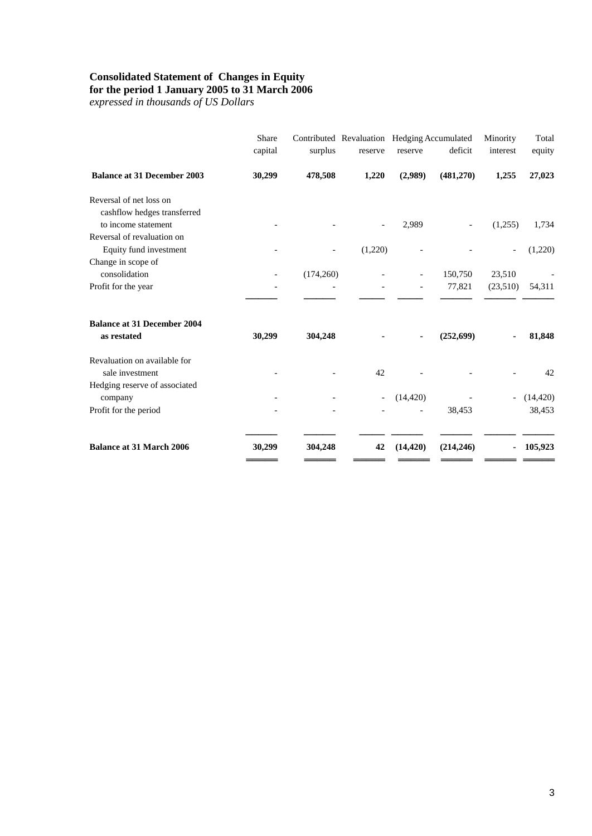### **Consolidated Statement of Changes in Equity**

#### **for the period 1 January 2005 to 31 March 2006**

| 1,255    | 27,023    |
|----------|-----------|
|          |           |
|          |           |
| (1,255)  | 1,734     |
|          |           |
|          | (1,220)   |
|          |           |
| (23,510) | 54,311    |
|          | 81,848    |
|          | 42        |
|          | (14, 420) |
|          | 38,453    |
|          | 105,923   |
|          | 23,510    |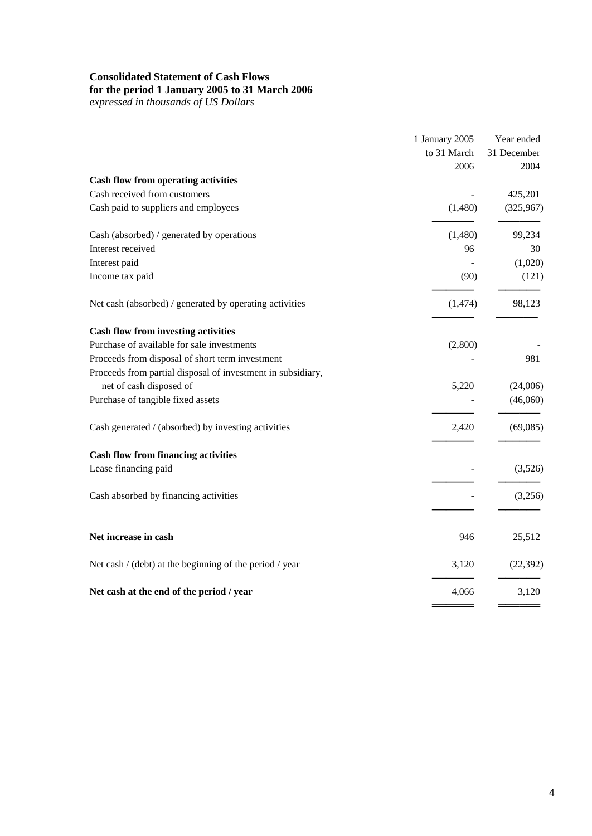## **Consolidated Statement of Cash Flows**

### **for the period 1 January 2005 to 31 March 2006**

|                                                             | 1 January 2005 | Year ended          |
|-------------------------------------------------------------|----------------|---------------------|
|                                                             | to 31 March    | 31 December<br>2004 |
|                                                             | 2006           |                     |
| <b>Cash flow from operating activities</b>                  |                |                     |
| Cash received from customers                                |                | 425,201             |
| Cash paid to suppliers and employees                        | (1,480)        | (325,967)           |
| Cash (absorbed) / generated by operations                   | (1,480)        | 99,234              |
| Interest received                                           | 96             | 30                  |
| Interest paid                                               |                | (1,020)             |
| Income tax paid                                             | (90)           | (121)               |
| Net cash (absorbed) / generated by operating activities     | (1,474)        | 98,123              |
| <b>Cash flow from investing activities</b>                  |                |                     |
| Purchase of available for sale investments                  | (2,800)        |                     |
| Proceeds from disposal of short term investment             |                | 981                 |
| Proceeds from partial disposal of investment in subsidiary, |                |                     |
| net of cash disposed of                                     | 5,220          | (24,006)            |
| Purchase of tangible fixed assets                           |                | (46,060)            |
| Cash generated / (absorbed) by investing activities         | 2,420          | (69,085)            |
| <b>Cash flow from financing activities</b>                  |                |                     |
| Lease financing paid                                        |                | (3,526)             |
| Cash absorbed by financing activities                       |                | (3,256)             |
| Net increase in cash                                        | 946            | 25,512              |
| Net cash / (debt) at the beginning of the period / year     | 3,120          | (22, 392)           |
| Net cash at the end of the period / year                    | 4,066          | 3,120               |
|                                                             |                |                     |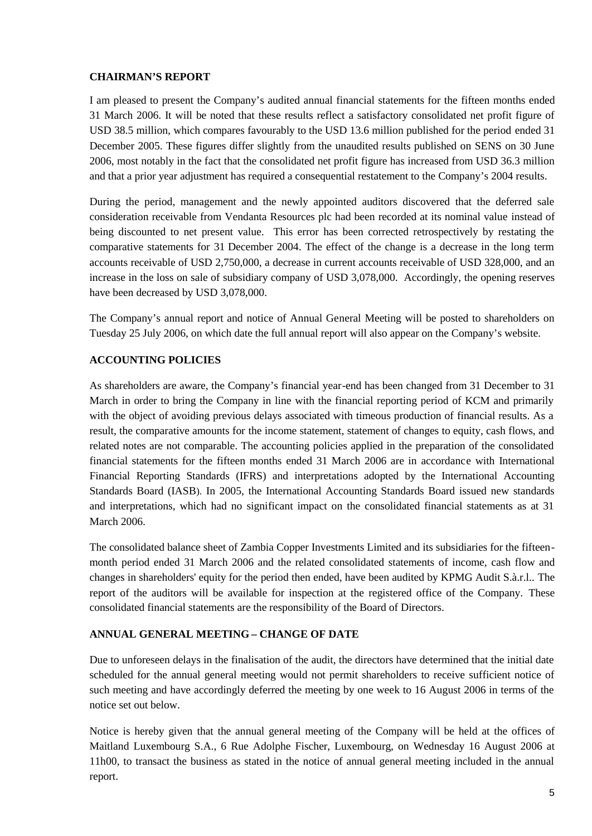## **CHAIRMAN'S REPORT**

I am pleased to present the Company's audited annual financial statements for the fifteen months ended 31 March 2006. It will be noted that these results reflect a satisfactory consolidated net profit figure of USD 38.5 million, which compares favourably to the USD 13.6 million published for the period ended 31 December 2005. These figures differ slightly from the unaudited results published on SENS on 30 June 2006, most notably in the fact that the consolidated net profit figure has increased from USD 36.3 million and that a prior year adjustment has required a consequential restatement to the Company's 2004 results.

During the period, management and the newly appointed auditors discovered that the deferred sale consideration receivable from Vendanta Resources plc had been recorded at its nominal value instead of being discounted to net present value. This error has been corrected retrospectively by restating the comparative statements for 31 December 2004. The effect of the change is a decrease in the long term accounts receivable of USD 2,750,000, a decrease in current accounts receivable of USD 328,000, and an increase in the loss on sale of subsidiary company of USD 3,078,000. Accordingly, the opening reserves have been decreased by USD 3,078,000.

The Company's annual report and notice of Annual General Meeting will be posted to shareholders on Tuesday 25 July 2006, on which date the full annual report will also appear on the Company's website.

## **ACCOUNTING POLICIES**

As shareholders are aware, the Company's financial year-end has been changed from 31 December to 31 March in order to bring the Company in line with the financial reporting period of KCM and primarily with the object of avoiding previous delays associated with timeous production of financial results. As a result, the comparative amounts for the income statement, statement of changes to equity, cash flows, and related notes are not comparable. The accounting policies applied in the preparation of the consolidated financial statements for the fifteen months ended 31 March 2006 are in accordance with International Financial Reporting Standards (IFRS) and interpretations adopted by the International Accounting Standards Board (IASB). In 2005, the International Accounting Standards Board issued new standards and interpretations, which had no significant impact on the consolidated financial statements as at 31 March 2006.

The consolidated balance sheet of Zambia Copper Investments Limited and its subsidiaries for the fifteenmonth period ended 31 March 2006 and the related consolidated statements of income, cash flow and changes in shareholders' equity for the period then ended, have been audited by KPMG Audit S.à.r.l.. The report of the auditors will be available for inspection at the registered office of the Company. These consolidated financial statements are the responsibility of the Board of Directors.

## **ANNUAL GENERAL MEETING – CHANGE OF DATE**

Due to unforeseen delays in the finalisation of the audit, the directors have determined that the initial date scheduled for the annual general meeting would not permit shareholders to receive sufficient notice of such meeting and have accordingly deferred the meeting by one week to 16 August 2006 in terms of the notice set out below.

Notice is hereby given that the annual general meeting of the Company will be held at the offices of Maitland Luxembourg S.A., 6 Rue Adolphe Fischer, Luxembourg, on Wednesday 16 August 2006 at 11h00, to transact the business as stated in the notice of annual general meeting included in the annual report.